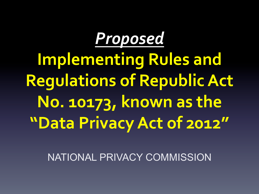

**Implementing Rules and Regulations of Republic Act** No. 10173, known as the **"Data Privacy Act of 2012"**

NATIONAL PRIVACY COMMISSION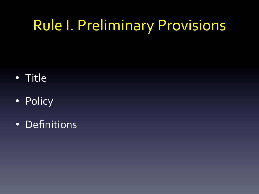#### **Rule I. Preliminary Provisions**

- Title
- Policy
- Definitions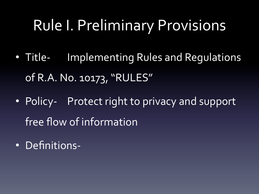#### **Rule I. Preliminary Provisions**

- Title- Implementing Rules and Regulations of R.A. No. 10173, "RULES"
- Policy- Protect right to privacy and support free flow of information
- Definitions-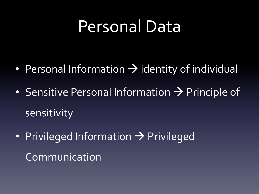#### Personal Data

- Personal Information  $\rightarrow$  identity of individual
- Sensitive Personal Information  $\rightarrow$  Principle of sensitivity
- Privileged Information  $\rightarrow$  Privileged Communication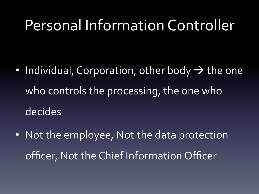#### Personal Information Controller

- Individual, Corporation, other body  $\rightarrow$  the one who controls the processing, the one who decides
- Not the employee, Not the data protection officer, Not the Chief Information Officer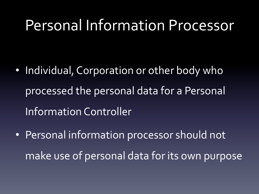#### Personal Information Processor

- Individual, Corporation or other body who processed the personal data for a Personal Information Controller
- Personal information processor should not make use of personal data for its own purpose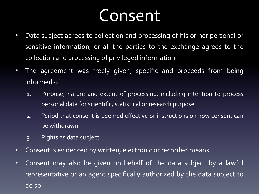## Consent

- Data subject agrees to collection and processing of his or her personal or sensitive information, or all the parties to the exchange agrees to the collection and processing of privileged information
- The agreement was freely given, specific and proceeds from being informed of
	- 1. Purpose, nature and extent of processing, including intention to process personal data for scientific, statistical or research purpose
	- 2. Period that consent is deemed effective or instructions on how consent can be withdrawn
	- 3. Rights as data subject
- Consent is evidenced by written, electronic or recorded means
- Consent may also be given on behalf of the data subject by a lawful representative or an agent specifically authorized by the data subject to do so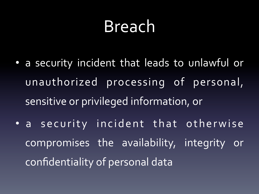## Breach

- a security incident that leads to unlawful or unauthorized processing of personal, sensitive or privileged information, or
- a security incident that otherwise compromises the availability, integrity or confidentiality of personal data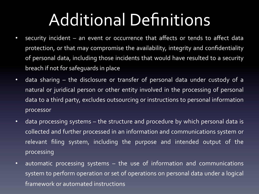## Additional Definitions

- security incident an event or occurrence that affects or tends to affect data protection, or that may compromise the availability, integrity and confidentiality of personal data, including those incidents that would have resulted to a security breach if not for safeguards in place
- data sharing the disclosure or transfer of personal data under custody of a natural or juridical person or other entity involved in the processing of personal data to a third party, excludes outsourcing or instructions to personal information processor
- data processing systems the structure and procedure by which personal data is collected and further processed in an information and communications system or relevant filing system, including the purpose and intended output of the processing
- automatic processing systems the use of information and communications system to perform operation or set of operations on personal data under a logical framework or automated instructions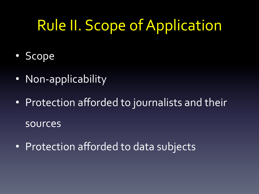#### Rule II. Scope of Application

- Scope
- Non-applicability
- Protection afforded to journalists and their sources
- Protection afforded to data subjects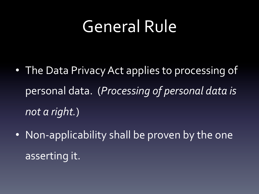#### General Rule

- The Data Privacy Act applies to processing of personal data. (*Processing of personal data is not a right.*)
- Non-applicability shall be proven by the one asserting it.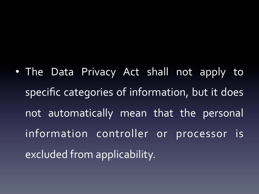• The Data Privacy Act shall not apply to specific categories of information, but it does not automatically mean that the personal information controller or processor is excluded from applicability.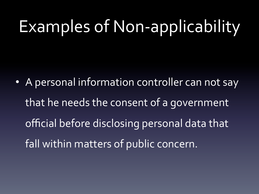• A personal information controller can not say that he needs the consent of a government official before disclosing personal data that fall within matters of public concern.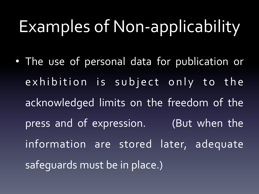• The use of personal data for publication or exhibition is subject only to the acknowledged limits on the freedom of the press and of expression. (But when the information are stored later, adequate safequards must be in place.)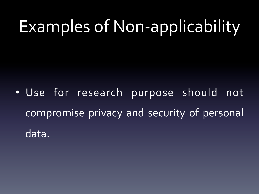• Use for research purpose should not compromise privacy and security of personal data.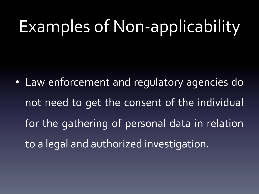• Law enforcement and regulatory agencies do not need to get the consent of the individual for the gathering of personal data in relation to a legal and authorized investigation.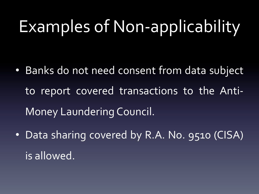- Banks do not need consent from data subject to report covered transactions to the Anti-Money Laundering Council.
- Data sharing covered by R.A. No. 9510 (CISA) is allowed.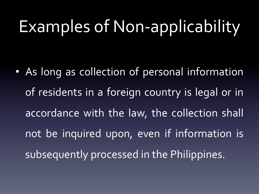• As long as collection of personal information of residents in a foreign country is legal or in accordance with the law, the collection shall not be inquired upon, even if information is subsequently processed in the Philippines.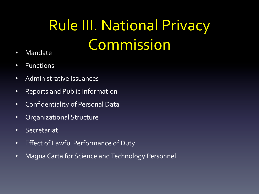## **Rule III. National Privacy** Commission

- Mandate
- Functions
- Administrative Issuances
- Reports and Public Information
- Confidentiality of Personal Data
- Organizational Structure
- Secretariat
- Effect of Lawful Performance of Duty
- Magna Carta for Science and Technology Personnel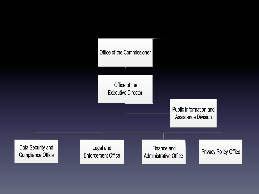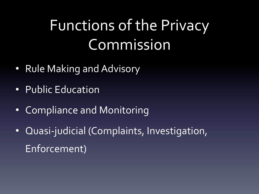## Functions of the Privacy Commission

- Rule Making and Advisory
- Public Education
- Compliance and Monitoring
- Quasi-judicial (Complaints, Investigation, Enforcement)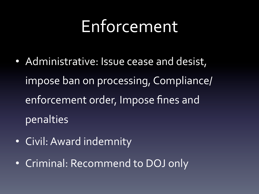## Enforcement

- Administrative: Issue cease and desist, impose ban on processing, Compliance/ enforcement order, Impose fines and penalties
- Civil: Award indemnity
- Criminal: Recommend to DOJ only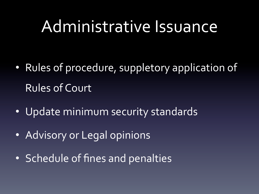#### Administrative Issuance

- Rules of procedure, suppletory application of Rules of Court
- Update minimum security standards
- Advisory or Legal opinions
- Schedule of fines and penalties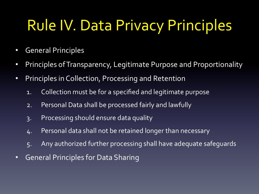#### **Rule IV. Data Privacy Principles**

- General Principles
- Principles of Transparency, Legitimate Purpose and Proportionality
- Principles in Collection, Processing and Retention
	- 1. Collection must be for a specified and legitimate purpose
	- 2. Personal Data shall be processed fairly and lawfully
	- 3. Processing should ensure data quality
	- 4. Personal data shall not be retained longer than necessary
	- 5. Any authorized further processing shall have adequate safeguards
- General Principles for Data Sharing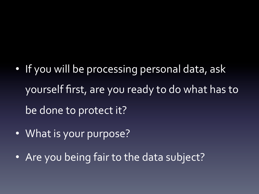- If you will be processing personal data, ask yourself first, are you ready to do what has to be done to protect it?
- What is your purpose?
- Are you being fair to the data subject?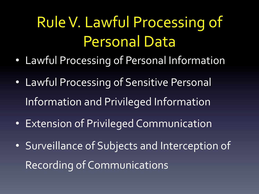## Rule V. Lawful Processing of Personal Data

- Lawful Processing of Personal Information
- Lawful Processing of Sensitive Personal Information and Privileged Information
- Extension of Privileged Communication
- Surveillance of Subjects and Interception of Recording of Communications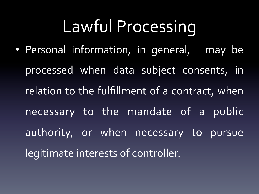# Lawful Processing

• Personal information, in general, may be processed when data subject consents, in relation to the fulfillment of a contract, when necessary to the mandate of a public authority, or when necessary to pursue legitimate interests of controller.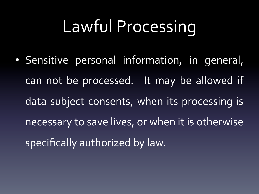# Lawful Processing

• Sensitive personal information, in general, can not be processed. It may be allowed if data subject consents, when its processing is necessary to save lives, or when it is otherwise specifically authorized by law.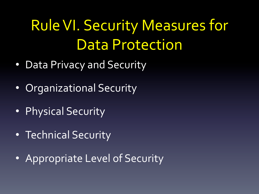## **Rule VI. Security Measures for** Data Protection

- Data Privacy and Security
- Organizational Security
- Physical Security
- Technical Security
- Appropriate Level of Security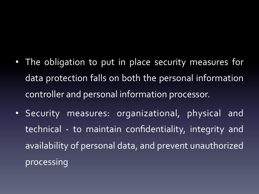#### • The obligation to put in place security measures for data protection falls on both the personal information controller and personal information processor.

• Security measures: organizational, physical and technical - to maintain confidentiality, integrity and availability of personal data, and prevent unauthorized processing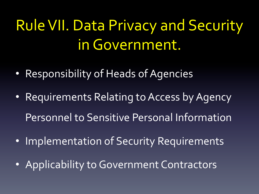## **Rule VII. Data Privacy and Security** in Government.

- Responsibility of Heads of Agencies
- Requirements Relating to Access by Agency Personnel to Sensitive Personal Information
- Implementation of Security Requirements
- Applicability to Government Contractors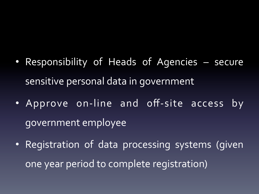- Responsibility of Heads of Agencies secure sensitive personal data in government
- Approve on-line and off-site access by government employee
- Registration of data processing systems (given one year period to complete registration)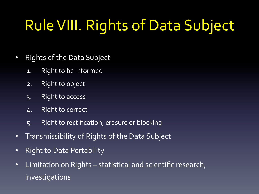## **Rule VIII. Rights of Data Subject**

- Rights of the Data Subject
	- 1. Right to be informed
	- 2. Right to object
	- 3. Right to access
	- 4. Right to correct
	- 5. Right to rectification, erasure or blocking
- Transmissibility of Rights of the Data Subject
- Right to Data Portability
- Limitation on Rights statistical and scientific research, investigations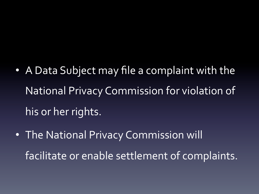- A Data Subject may file a complaint with the National Privacy Commission for violation of his or her rights.
- The National Privacy Commission will facilitate or enable settlement of complaints.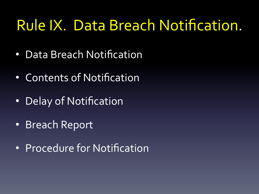#### Rule IX. Data Breach Notification.

- Data Breach Notification
- Contents of Notification
- Delay of Notification
- Breach Report
- Procedure for Notification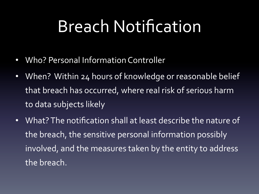## Breach Notification

- Who? Personal Information Controller
- When? Within 24 hours of knowledge or reasonable belief that breach has occurred, where real risk of serious harm to data subjects likely
- What? The notification shall at least describe the nature of the breach, the sensitive personal information possibly involved, and the measures taken by the entity to address the breach.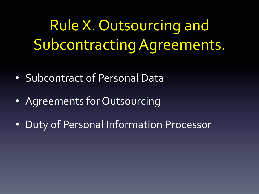Rule X. Outsourcing and Subcontracting Agreements.

- Subcontract of Personal Data
- Agreements for Outsourcing
- Duty of Personal Information Processor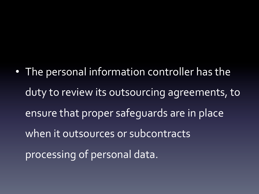• The personal information controller has the duty to review its outsourcing agreements, to ensure that proper safequards are in place when it outsources or subcontracts processing of personal data.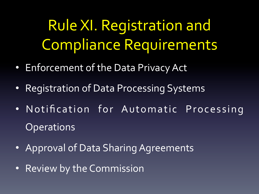Rule XI. Registration and Compliance Requirements

- Enforcement of the Data Privacy Act
- Registration of Data Processing Systems
- Notification for Automatic Processing **Operations**
- Approval of Data Sharing Agreements
- Review by the Commission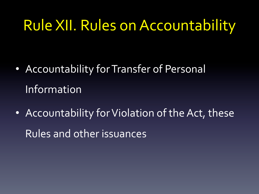#### **Rule XII. Rules on Accountability**

- Accountability for Transfer of Personal Information
- Accountability for Violation of the Act, these Rules and other issuances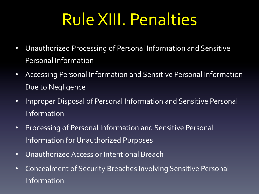## Rule XIII. Penalties

- Unauthorized Processing of Personal Information and Sensitive Personal Information
- Accessing Personal Information and Sensitive Personal Information Due to Negligence
- Improper Disposal of Personal Information and Sensitive Personal Information
- Processing of Personal Information and Sensitive Personal Information for Unauthorized Purposes
- Unauthorized Access or Intentional Breach
- Concealment of Security Breaches Involving Sensitive Personal Information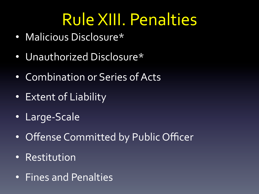## Rule XIII. Penalties

- Malicious Disclosure\*
- Unauthorized Disclosure\*
- Combination or Series of Acts
- Extent of Liability
- Large-Scale
- Offense Committed by Public Officer
- Restitution
- Fines and Penalties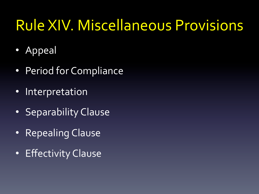#### **Rule XIV. Miscellaneous Provisions**

- Appeal
- Period for Compliance
- Interpretation
- Separability Clause
- Repealing Clause
- Effectivity Clause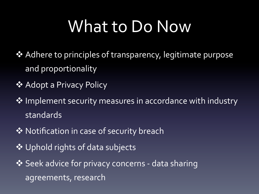## What to Do Now

- ❖ Adhere to principles of transparency, legitimate purpose and proportionality
- ❖ Adopt a Privacy Policy
- $\dots$  Implement security measures in accordance with industry standards
- **\*** Notification in case of security breach
- ❖ Uphold rights of data subjects
- ◆ Seek advice for privacy concerns data sharing agreements, research